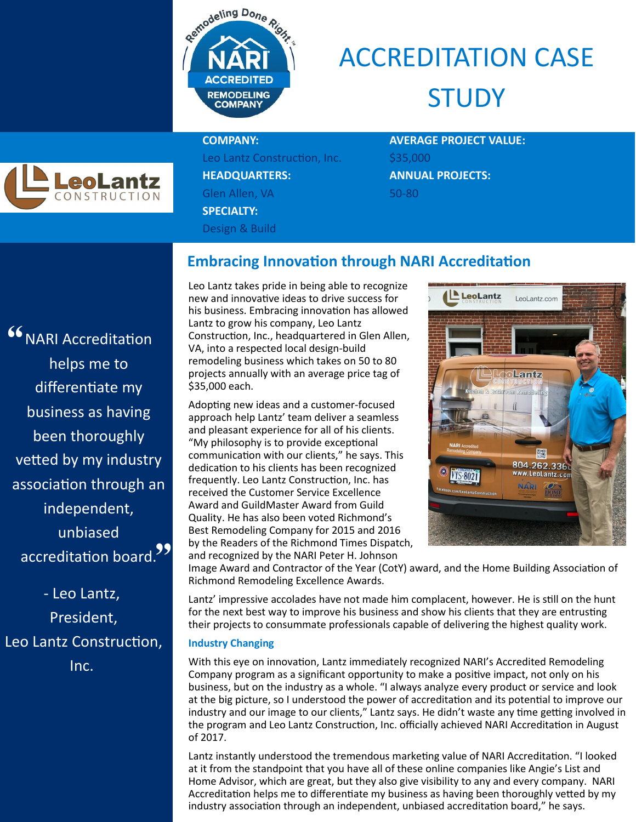

## ACCREDITATION CASE **STUDY**



Leo Lantz Construction, Inc. \$35,000 **HEADQUARTERS: ANNUAL PROJECTS:** Glen Allen, VA 50-80 **SPECIALTY:** Design & Build

# **COMPANY: AVERAGE PROJECT VALUE:**

#### **Embracing Innovation through NARI Accreditation**

<sup>66</sup> NARI Accreditation unblased<br>| accreditation board.<sup>99</sup> helps me to differentiate my business as having been thoroughly vetted by my industry association through an independent, unbiased

- Leo Lantz, President, Leo Lantz Construction, Inc.

Leo Lantz takes pride in being able to recognize new and innovative ideas to drive success for his business. Embracing innovation has allowed Lantz to grow his company, Leo Lantz Construction, Inc., headquartered in Glen Allen, VA, into a respected local design-build remodeling business which takes on 50 to 80 projects annually with an average price tag of \$35,000 each.

Adopting new ideas and a customer-focused approach help Lantz' team deliver a seamless and pleasant experience for all of his clients. "My philosophy is to provide exceptional communication with our clients," he says. This dedication to his clients has been recognized frequently. Leo Lantz Construction, Inc. has received the Customer Service Excellence Award and GuildMaster Award from Guild Quality. He has also been voted Richmond's Best Remodeling Company for 2015 and 2016 by the Readers of the Richmond Times Dispatch, and recognized by the NARI Peter H. Johnson



Image Award and Contractor of the Year (CotY) award, and the Home Building Association of Richmond Remodeling Excellence Awards.

Lantz' impressive accolades have not made him complacent, however. He is still on the hunt for the next best way to improve his business and show his clients that they are entrusting their projects to consummate professionals capable of delivering the highest quality work.

#### **Industry Changing**

With this eye on innovation, Lantz immediately recognized NARI's Accredited Remodeling Company program as a significant opportunity to make a positive impact, not only on his business, but on the industry as a whole. "I always analyze every product or service and look at the big picture, so I understood the power of accreditation and its potential to improve our industry and our image to our clients," Lantz says. He didn't waste any time getting involved in the program and Leo Lantz Construction, Inc. officially achieved NARI Accreditation in August of 2017.

Lantz instantly understood the tremendous marketing value of NARI Accreditation. "I looked at it from the standpoint that you have all of these online companies like Angie's List and Home Advisor, which are great, but they also give visibility to any and every company. NARI Accreditation helps me to differentiate my business as having been thoroughly vetted by my industry association through an independent, unbiased accreditation board," he says.